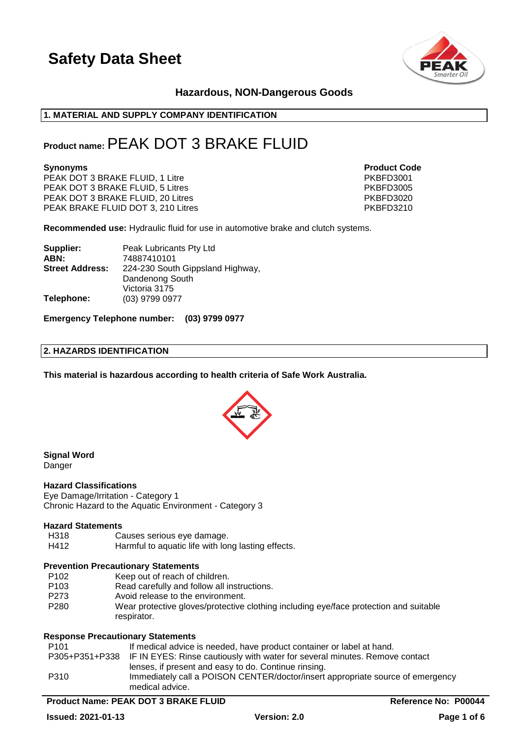

### **Hazardous, NON-Dangerous Goods**

### **1. MATERIAL AND SUPPLY COMPANY IDENTIFICATION**

### **Product name:**PEAK DOT 3 BRAKE FLUID

PEAK DOT 3 BRAKE FLUID, 1 Litre PKBFD3001 PEAK DOT 3 BRAKE FLUID, 5 Litres PEAK DOT 3 BRAKE FLUID, 5 Litres PEAK PRESS PRESS PRESS PRESS PRESS PRESS PRESS PRESS PRESS PRESS PRESS PRESS PRESS PRESS PRESS PRESS PRESS PRESS PRESS PRESS PRESS PRESS PRESS PRESS PRESS P PEAK DOT 3 BRAKE FLUID, 20 Litres PEAK BRAKE FLUID DOT 3, 210 Litres PART AND PARTICLE 2010 PKBFD3210

**Synonyms Product Code** 

**Recommended use:** Hydraulic fluid for use in automotive brake and clutch systems.

| Supplier:              | Peak Lubricants Pty Ltd          |
|------------------------|----------------------------------|
| ABN:                   | 74887410101                      |
| <b>Street Address:</b> | 224-230 South Gippsland Highway, |
|                        | Dandenong South                  |
|                        | Victoria 3175                    |
| Telephone:             | (03) 9799 0977                   |

**Emergency Telephone number: (03) 9799 0977**

### **2. HAZARDS IDENTIFICATION**

**This material is hazardous according to health criteria of Safe Work Australia.**



### **Signal Word**

**Danger** 

### **Hazard Classifications**

Eye Damage/Irritation - Category 1 Chronic Hazard to the Aquatic Environment - Category 3

### **Hazard Statements**

- H318 Causes serious eye damage.
- H412 Harmful to aquatic life with long lasting effects.

### **Prevention Precautionary Statements**

- P102 Keep out of reach of children.
- P103 Read carefully and follow all instructions.
- P273 Avoid release to the environment.
- P280 Wear protective gloves/protective clothing including eye/face protection and suitable respirator.

### **Response Precautionary Statements**

| P <sub>101</sub> | If medical advice is needed, have product container or label at hand.                      |
|------------------|--------------------------------------------------------------------------------------------|
|                  | P305+P351+P338 IF IN EYES: Rinse cautiously with water for several minutes. Remove contact |
|                  | lenses, if present and easy to do. Continue rinsing.                                       |
| P310             | Immediately call a POISON CENTER/doctor/insert appropriate source of emergency             |
|                  | medical advice.                                                                            |

### **Product Name: PEAK DOT 3 BRAKE FLUID Reference No: P00044**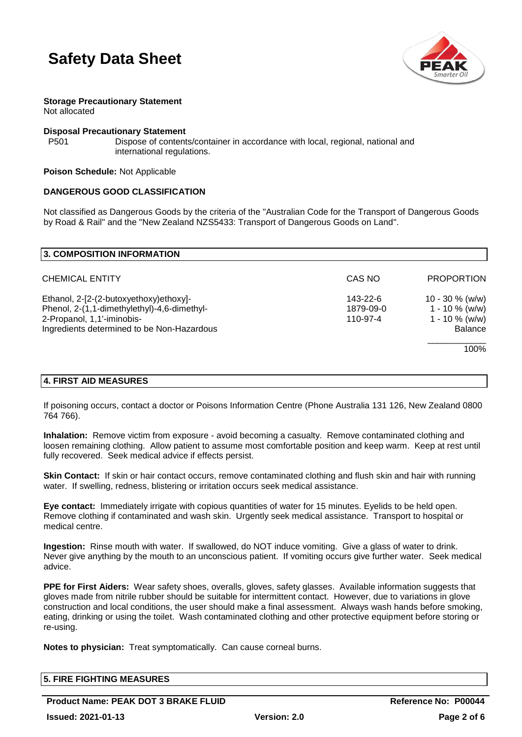



**Storage Precautionary Statement** Not allocated

### **Disposal Precautionary Statement**

P501 Dispose of contents/container in accordance with local, regional, national and international regulations.

### **Poison Schedule:** Not Applicable

### **DANGEROUS GOOD CLASSIFICATION**

Not classified as Dangerous Goods by the criteria of the "Australian Code for the Transport of Dangerous Goods by Road & Rail" and the "New Zealand NZS5433: Transport of Dangerous Goods on Land".

| <b>3. COMPOSITION INFORMATION</b>                                                                                                                                 |                                   |                                                                                        |
|-------------------------------------------------------------------------------------------------------------------------------------------------------------------|-----------------------------------|----------------------------------------------------------------------------------------|
| <b>CHEMICAL ENTITY</b>                                                                                                                                            | CAS NO                            | <b>PROPORTION</b>                                                                      |
| Ethanol, 2-[2-(2-butoxyethoxy)ethoxy]-<br>Phenol, 2-(1,1-dimethylethyl)-4,6-dimethyl-<br>2-Propanol, 1,1'-iminobis-<br>Ingredients determined to be Non-Hazardous | 143-22-6<br>1879-09-0<br>110-97-4 | $10 - 30 \%$ (w/w)<br>$1 - 10 \%$ (w/w)<br>$1 - 10 \%$ (w/w)<br><b>Balance</b><br>100% |
|                                                                                                                                                                   |                                   |                                                                                        |

### **4. FIRST AID MEASURES**

If poisoning occurs, contact a doctor or Poisons Information Centre (Phone Australia 131 126, New Zealand 0800 764 766).

**Inhalation:** Remove victim from exposure - avoid becoming a casualty. Remove contaminated clothing and loosen remaining clothing. Allow patient to assume most comfortable position and keep warm. Keep at rest until fully recovered. Seek medical advice if effects persist.

**Skin Contact:** If skin or hair contact occurs, remove contaminated clothing and flush skin and hair with running water. If swelling, redness, blistering or irritation occurs seek medical assistance.

**Eye contact:** Immediately irrigate with copious quantities of water for 15 minutes. Eyelids to be held open. Remove clothing if contaminated and wash skin. Urgently seek medical assistance. Transport to hospital or medical centre.

**Ingestion:** Rinse mouth with water. If swallowed, do NOT induce vomiting. Give a glass of water to drink. Never give anything by the mouth to an unconscious patient. If vomiting occurs give further water. Seek medical advice.

**PPE for First Aiders:** Wear safety shoes, overalls, gloves, safety glasses. Available information suggests that gloves made from nitrile rubber should be suitable for intermittent contact. However, due to variations in glove construction and local conditions, the user should make a final assessment. Always wash hands before smoking, eating, drinking or using the toilet. Wash contaminated clothing and other protective equipment before storing or re-using.

**Notes to physician:** Treat symptomatically. Can cause corneal burns.

|                          | <b>5. FIRE FIGHTING MEASURES</b> |     |        |
|--------------------------|----------------------------------|-----|--------|
|                          |                                  |     |        |
| $\overline{\phantom{a}}$ | __________________               | . . | ------ |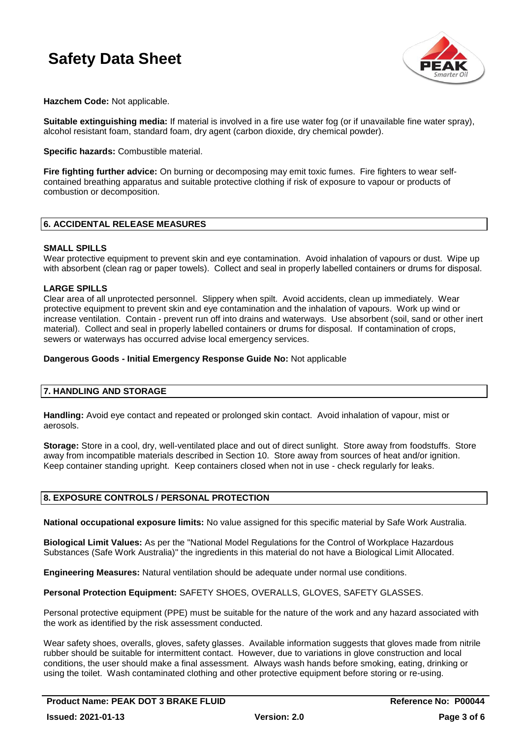

**Hazchem Code:** Not applicable.

**Suitable extinguishing media:** If material is involved in a fire use water fog (or if unavailable fine water spray), alcohol resistant foam, standard foam, dry agent (carbon dioxide, dry chemical powder).

**Specific hazards:** Combustible material.

**Fire fighting further advice:** On burning or decomposing may emit toxic fumes. Fire fighters to wear selfcontained breathing apparatus and suitable protective clothing if risk of exposure to vapour or products of combustion or decomposition.

### **6. ACCIDENTAL RELEASE MEASURES**

### **SMALL SPILLS**

Wear protective equipment to prevent skin and eve contamination. Avoid inhalation of vapours or dust. Wipe up with absorbent (clean rag or paper towels). Collect and seal in properly labelled containers or drums for disposal.

### **LARGE SPILLS**

Clear area of all unprotected personnel. Slippery when spilt. Avoid accidents, clean up immediately. Wear protective equipment to prevent skin and eye contamination and the inhalation of vapours. Work up wind or increase ventilation. Contain - prevent run off into drains and waterways. Use absorbent (soil, sand or other inert material). Collect and seal in properly labelled containers or drums for disposal. If contamination of crops, sewers or waterways has occurred advise local emergency services.

### **Dangerous Goods - Initial Emergency Response Guide No:** Not applicable

### **7. HANDLING AND STORAGE**

**Handling:** Avoid eye contact and repeated or prolonged skin contact. Avoid inhalation of vapour, mist or aerosols.

**Storage:** Store in a cool, dry, well-ventilated place and out of direct sunlight. Store away from foodstuffs. Store away from incompatible materials described in Section 10. Store away from sources of heat and/or ignition. Keep container standing upright. Keep containers closed when not in use - check regularly for leaks.

### **8. EXPOSURE CONTROLS / PERSONAL PROTECTION**

**National occupational exposure limits:** No value assigned for this specific material by Safe Work Australia.

**Biological Limit Values:** As per the "National Model Regulations for the Control of Workplace Hazardous Substances (Safe Work Australia)" the ingredients in this material do not have a Biological Limit Allocated.

**Engineering Measures:** Natural ventilation should be adequate under normal use conditions.

**Personal Protection Equipment:** SAFETY SHOES, OVERALLS, GLOVES, SAFETY GLASSES.

Personal protective equipment (PPE) must be suitable for the nature of the work and any hazard associated with the work as identified by the risk assessment conducted.

Wear safety shoes, overalls, gloves, safety glasses. Available information suggests that gloves made from nitrile rubber should be suitable for intermittent contact. However, due to variations in glove construction and local conditions, the user should make a final assessment. Always wash hands before smoking, eating, drinking or using the toilet. Wash contaminated clothing and other protective equipment before storing or re-using.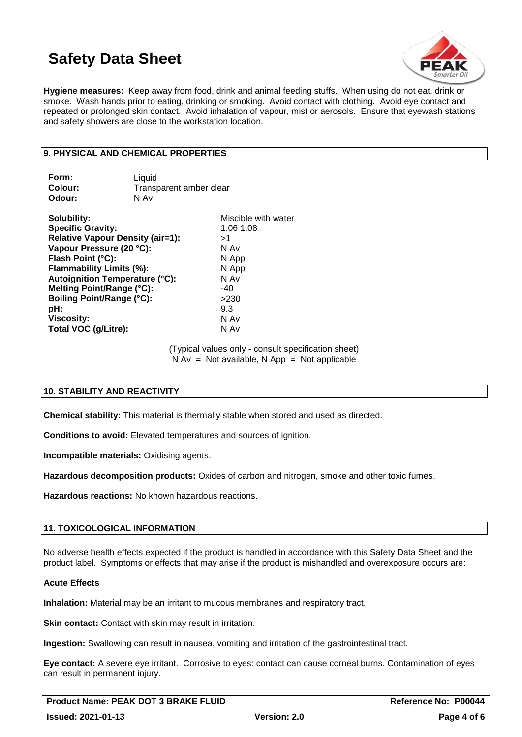

**Hygiene measures:** Keep away from food, drink and animal feeding stuffs. When using do not eat, drink or smoke. Wash hands prior to eating, drinking or smoking. Avoid contact with clothing. Avoid eye contact and repeated or prolonged skin contact. Avoid inhalation of vapour, mist or aerosols. Ensure that eyewash stations and safety showers are close to the workstation location.

### **9. PHYSICAL AND CHEMICAL PROPERTIES**

| Form:<br>Colour:<br>Odour:              | Liquid<br>Transparent amber clear<br>N Av |                     |
|-----------------------------------------|-------------------------------------------|---------------------|
| Solubility:                             |                                           | Miscible with water |
| <b>Specific Gravity:</b>                |                                           | 1.06 1.08           |
| <b>Relative Vapour Density (air=1):</b> |                                           | >1                  |
| Vapour Pressure (20 °C):                |                                           | N Av                |
| Flash Point (°C):                       |                                           | N App               |
| Flammability Limits (%):                |                                           | N App               |
| Autoignition Temperature (°C):          |                                           | N Av                |
| Melting Point/Range (°C):               |                                           | -40                 |
| <b>Boiling Point/Range (°C):</b>        |                                           | >230                |
| pH:                                     |                                           | 9.3                 |
| <b>Viscosity:</b>                       |                                           | N Av                |
| Total VOC (g/Litre):                    |                                           | N Av                |

(Typical values only - consult specification sheet)  $N Av = Not available, N App = Not applicable$ 

### **10. STABILITY AND REACTIVITY**

**Chemical stability:** This material is thermally stable when stored and used as directed.

**Conditions to avoid:** Elevated temperatures and sources of ignition.

**Incompatible materials:** Oxidising agents.

**Hazardous decomposition products:** Oxides of carbon and nitrogen, smoke and other toxic fumes.

**Hazardous reactions:** No known hazardous reactions.

### **11. TOXICOLOGICAL INFORMATION**

No adverse health effects expected if the product is handled in accordance with this Safety Data Sheet and the product label. Symptoms or effects that may arise if the product is mishandled and overexposure occurs are:

### **Acute Effects**

**Inhalation:** Material may be an irritant to mucous membranes and respiratory tract.

**Skin contact:** Contact with skin may result in irritation.

**Ingestion:** Swallowing can result in nausea, vomiting and irritation of the gastrointestinal tract.

**Eye contact:** A severe eye irritant. Corrosive to eyes: contact can cause corneal burns. Contamination of eyes can result in permanent injury.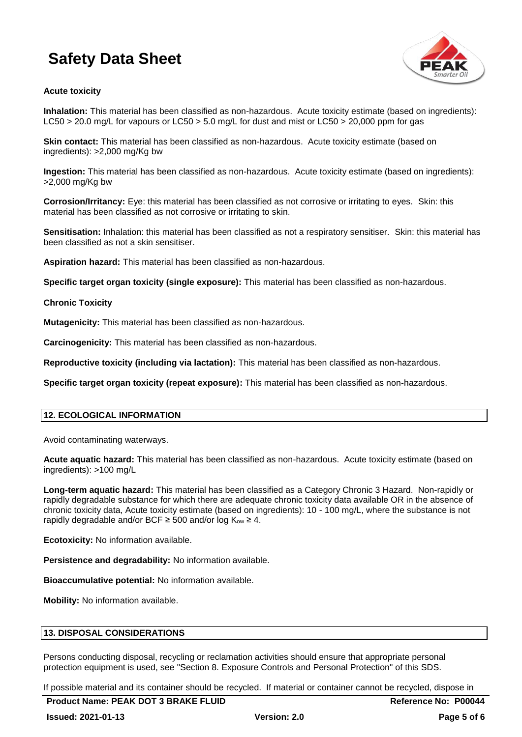

### **Acute toxicity**

**Inhalation:** This material has been classified as non-hazardous. Acute toxicity estimate (based on ingredients): LC50 > 20.0 mg/L for vapours or LC50 > 5.0 mg/L for dust and mist or LC50 > 20,000 ppm for gas

**Skin contact:** This material has been classified as non-hazardous. Acute toxicity estimate (based on ingredients): >2,000 mg/Kg bw

**Ingestion:** This material has been classified as non-hazardous. Acute toxicity estimate (based on ingredients): >2,000 mg/Kg bw

**Corrosion/Irritancy:** Eye: this material has been classified as not corrosive or irritating to eyes. Skin: this material has been classified as not corrosive or irritating to skin.

**Sensitisation:** Inhalation: this material has been classified as not a respiratory sensitiser. Skin: this material has been classified as not a skin sensitiser.

**Aspiration hazard:** This material has been classified as non-hazardous.

**Specific target organ toxicity (single exposure):** This material has been classified as non-hazardous.

### **Chronic Toxicity**

**Mutagenicity:** This material has been classified as non-hazardous.

**Carcinogenicity:** This material has been classified as non-hazardous.

**Reproductive toxicity (including via lactation):** This material has been classified as non-hazardous.

**Specific target organ toxicity (repeat exposure):** This material has been classified as non-hazardous.

### **12. ECOLOGICAL INFORMATION**

Avoid contaminating waterways.

**Acute aquatic hazard:** This material has been classified as non-hazardous. Acute toxicity estimate (based on ingredients): >100 mg/L

**Long-term aquatic hazard:** This material has been classified as a Category Chronic 3 Hazard. Non-rapidly or rapidly degradable substance for which there are adequate chronic toxicity data available OR in the absence of chronic toxicity data, Acute toxicity estimate (based on ingredients): 10 - 100 mg/L, where the substance is not rapidly degradable and/or BCF  $\geq$  500 and/or log K<sub>ow</sub>  $\geq$  4.

**Ecotoxicity:** No information available.

**Persistence and degradability:** No information available.

**Bioaccumulative potential:** No information available.

**Mobility:** No information available.

### **13. DISPOSAL CONSIDERATIONS**

Persons conducting disposal, recycling or reclamation activities should ensure that appropriate personal protection equipment is used, see "Section 8. Exposure Controls and Personal Protection" of this SDS.

If possible material and its container should be recycled. If material or container cannot be recycled, dispose in